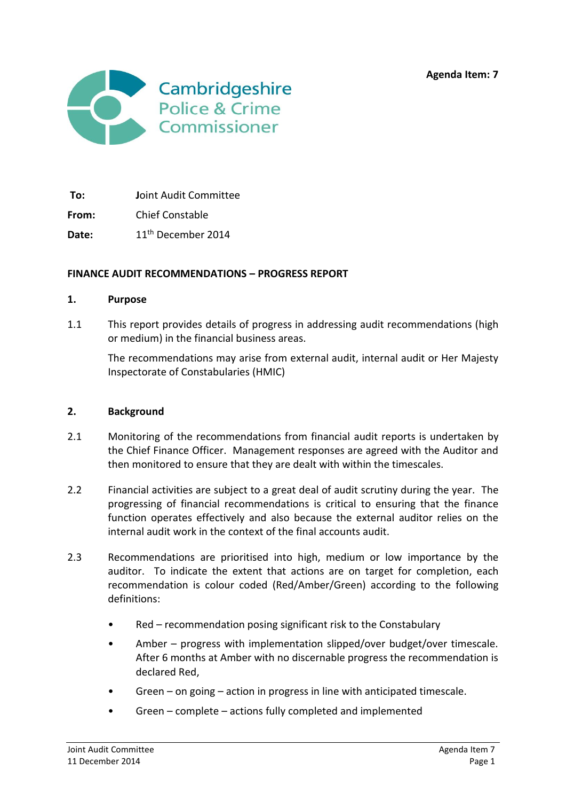**Agenda Item: 7**



**To: J**oint Audit Committee

**From:** Chief Constable

Date: 11<sup>th</sup> December 2014

#### **FINANCE AUDIT RECOMMENDATIONS – PROGRESS REPORT**

#### **1. Purpose**

1.1 This report provides details of progress in addressing audit recommendations (high or medium) in the financial business areas.

The recommendations may arise from external audit, internal audit or Her Majesty Inspectorate of Constabularies (HMIC)

#### **2. Background**

- 2.1 Monitoring of the recommendations from financial audit reports is undertaken by the Chief Finance Officer. Management responses are agreed with the Auditor and then monitored to ensure that they are dealt with within the timescales.
- 2.2 Financial activities are subject to a great deal of audit scrutiny during the year. The progressing of financial recommendations is critical to ensuring that the finance function operates effectively and also because the external auditor relies on the internal audit work in the context of the final accounts audit.
- 2.3 Recommendations are prioritised into high, medium or low importance by the auditor. To indicate the extent that actions are on target for completion, each recommendation is colour coded (Red/Amber/Green) according to the following definitions:
	- Red recommendation posing significant risk to the Constabulary
	- Amber progress with implementation slipped/over budget/over timescale. After 6 months at Amber with no discernable progress the recommendation is declared Red,
	- Green on going action in progress in line with anticipated timescale.
	- Green complete actions fully completed and implemented